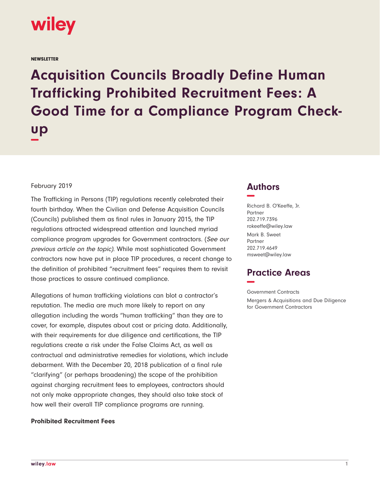

**NEWSLETTER** 

**Acquisition Councils Broadly Define Human Trafficking Prohibited Recruitment Fees: A Good Time for a Compliance Program Checkup −**

### February 2019

The Trafficking in Persons (TIP) regulations recently celebrated their fourth birthday. When the Civilian and Defense Acquisition Councils (Councils) published them as final rules in January 2015, the TIP regulations attracted widespread attention and launched myriad compliance program upgrades for Government contractors. (See our previous article on the topic). While most sophisticated Government contractors now have put in place TIP procedures, a recent change to the definition of prohibited "recruitment fees" requires them to revisit those practices to assure continued compliance.

Allegations of human trafficking violations can blot a contractor's reputation. The media are much more likely to report on any allegation including the words "human trafficking" than they are to cover, for example, disputes about cost or pricing data. Additionally, with their requirements for due diligence and certifications, the TIP regulations create a risk under the False Claims Act, as well as contractual and administrative remedies for violations, which include debarment. With the December 20, 2018 publication of a final rule "clarifying" (or perhaps broadening) the scope of the prohibition against charging recruitment fees to employees, contractors should not only make appropriate changes, they should also take stock of how well their overall TIP compliance programs are running.

#### **Prohibited Recruitment Fees**

## **Authors −**

Richard B. O'Keeffe, Jr. Partner 202.719.7396 rokeeffe@wiley.law Mark B. Sweet Partner 202.719.4649 msweet@wiley.law

# **Practice Areas −**

Government Contracts Mergers & Acquisitions and Due Diligence for Government Contractors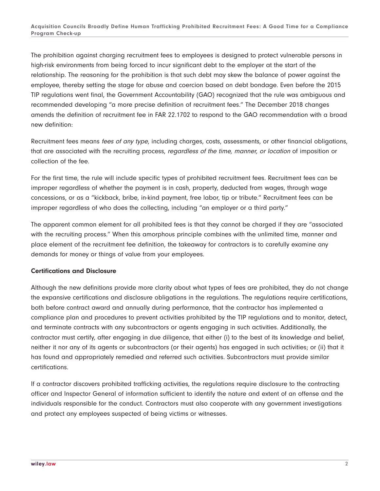The prohibition against charging recruitment fees to employees is designed to protect vulnerable persons in high-risk environments from being forced to incur significant debt to the employer at the start of the relationship. The reasoning for the prohibition is that such debt may skew the balance of power against the employee, thereby setting the stage for abuse and coercion based on debt bondage. Even before the 2015 TIP regulations went final, the Government Accountability (GAO) recognized that the rule was ambiguous and recommended developing "a more precise definition of recruitment fees." The December 2018 changes amends the definition of recruitment fee in FAR 22.1702 to respond to the GAO recommendation with a broad new definition:

Recruitment fees means fees of any type, including charges, costs, assessments, or other financial obligations, that are associated with the recruiting process, regardless of the time, manner, or location of imposition or collection of the fee.

For the first time, the rule will include specific types of prohibited recruitment fees. Recruitment fees can be improper regardless of whether the payment is in cash, property, deducted from wages, through wage concessions, or as a "kickback, bribe, in-kind payment, free labor, tip or tribute." Recruitment fees can be improper regardless of who does the collecting, including "an employer or a third party."

The apparent common element for all prohibited fees is that they cannot be charged if they are "associated with the recruiting process." When this amorphous principle combines with the unlimited time, manner and place element of the recruitment fee definition, the takeaway for contractors is to carefully examine any demands for money or things of value from your employees.

### **Certifications and Disclosure**

Although the new definitions provide more clarity about what types of fees are prohibited, they do not change the expansive certifications and disclosure obligations in the regulations. The regulations require certifications, both before contract award and annually during performance, that the contractor has implemented a compliance plan and procedures to prevent activities prohibited by the TIP regulations and to monitor, detect, and terminate contracts with any subcontractors or agents engaging in such activities. Additionally, the contractor must certify, after engaging in due diligence, that either (i) to the best of its knowledge and belief, neither it nor any of its agents or subcontractors (or their agents) has engaged in such activities; or (ii) that it has found and appropriately remedied and referred such activities. Subcontractors must provide similar certifications.

If a contractor discovers prohibited trafficking activities, the regulations require disclosure to the contracting officer and Inspector General of information sufficient to identify the nature and extent of an offense and the individuals responsible for the conduct. Contractors must also cooperate with any government investigations and protect any employees suspected of being victims or witnesses.